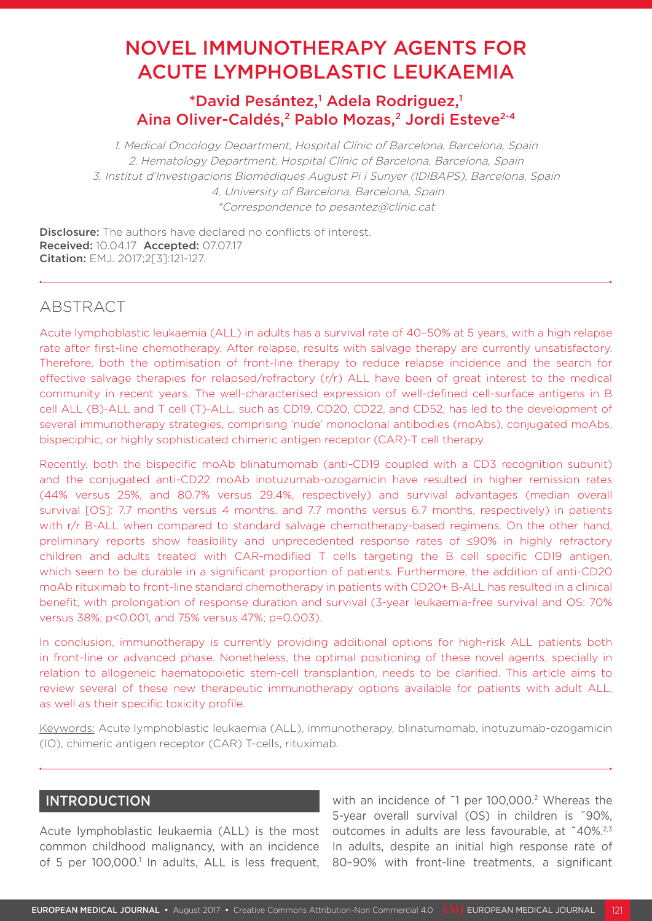# NOVEL IMMUNOTHERAPY AGENTS FOR ACUTE LYMPHOBLASTIC LEUKAEMIA

# \*David Pesántez,<sup>1</sup> Adela Rodriguez,<sup>1</sup> Aina Oliver-Caldés,<sup>2</sup> Pablo Mozas,<sup>2</sup> Jordi Esteve<sup>2-4</sup>

1. Medical Oncology Department, Hospital Clínic of Barcelona, Barcelona, Spain 2. Hematology Department, Hospital Clínic of Barcelona, Barcelona, Spain 3. Institut d'Investigacions Biomèdiques August Pi i Sunyer (IDIBAPS), Barcelona, Spain 4. University of Barcelona, Barcelona, Spain \*Correspondence to pesantez@clinic.cat

Disclosure: The authors have declared no conflicts of interest. Received: 10.04.17 Accepted: 07.07.17 Citation: EMJ. 2017;2[3]:121-127.

## ABSTRACT

Acute lymphoblastic leukaemia (ALL) in adults has a survival rate of 40–50% at 5 years, with a high relapse rate after first-line chemotherapy. After relapse, results with salvage therapy are currently unsatisfactory. Therefore, both the optimisation of front-line therapy to reduce relapse incidence and the search for effective salvage therapies for relapsed/refractory (r/r) ALL have been of great interest to the medical community in recent years. The well-characterised expression of well-defined cell-surface antigens in B cell ALL (B)-ALL and T cell (T)-ALL, such as CD19, CD20, CD22, and CD52, has led to the development of several immunotherapy strategies, comprising 'nude' monoclonal antibodies (moAbs), conjugated moAbs, bispeciphic, or highly sophisticated chimeric antigen receptor (CAR)-T cell therapy.

Recently, both the bispecific moAb blinatumomab (anti-CD19 coupled with a CD3 recognition subunit) and the conjugated anti-CD22 moAb inotuzumab-ozogamicin have resulted in higher remission rates (44% versus 25%, and 80.7% versus 29.4%, respectively) and survival advantages (median overall survival [OS]: 7.7 months versus 4 months, and 7.7 months versus 6.7 months, respectively) in patients with r/r B-ALL when compared to standard salvage chemotherapy-based regimens. On the other hand, preliminary reports show feasibility and unprecedented response rates of ≤90% in highly refractory children and adults treated with CAR-modified T cells targeting the B cell specific CD19 antigen, which seem to be durable in a significant proportion of patients. Furthermore, the addition of anti-CD20 moAb rituximab to front-line standard chemotherapy in patients with CD20+ B-ALL has resulted in a clinical benefit, with prolongation of response duration and survival (3-year leukaemia-free survival and OS: 70% versus 38%; p<0.001, and 75% versus 47%; p=0.003).

In conclusion, immunotherapy is currently providing additional options for high-risk ALL patients both in front-line or advanced phase. Nonetheless, the optimal positioning of these novel agents, specially in relation to allogeneic haematopoietic stem-cell transplantion, needs to be clarified. This article aims to review several of these new therapeutic immunotherapy options available for patients with adult ALL, as well as their specific toxicity profile.

Keywords: Acute lymphoblastic leukaemia (ALL), immunotherapy, blinatumomab, inotuzumab-ozogamicin (IO), chimeric antigen receptor (CAR) T-cells, rituximab.

#### INTRODUCTION

Acute lymphoblastic leukaemia (ALL) is the most common childhood malignancy, with an incidence of 5 per 100,000.<sup>1</sup> In adults, ALL is less frequent,

with an incidence of ~1 per 100,000.<sup>2</sup> Whereas the 5-year overall survival (OS) in children is ˜90%, outcomes in adults are less favourable, at ˜40%.2,3 In adults, despite an initial high response rate of 80–90% with front-line treatments, a significant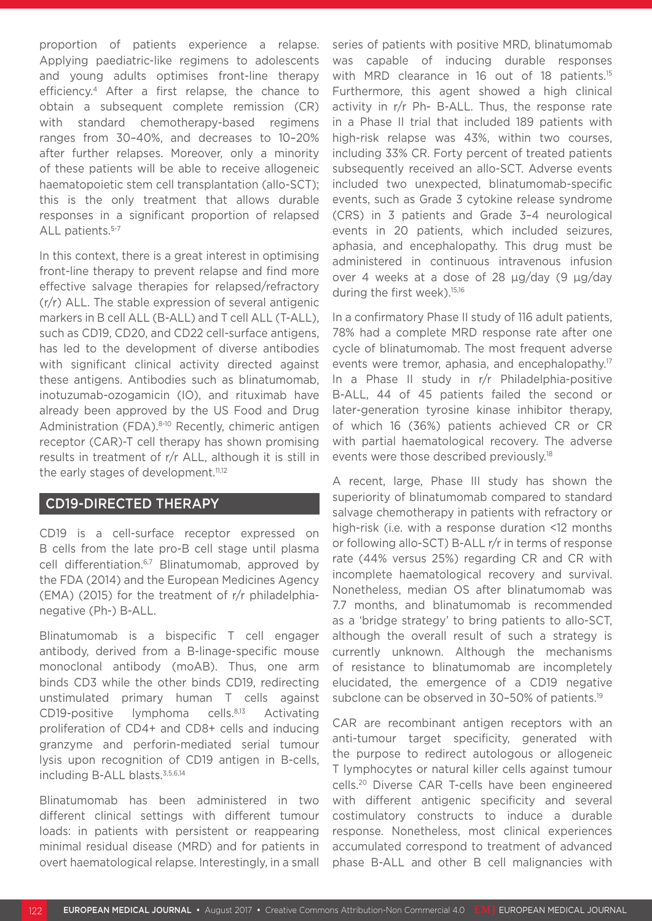proportion of patients experience a relapse. Applying paediatric-like regimens to adolescents and young adults optimises front-line therapy efficiency.4 After a first relapse, the chance to obtain a subsequent complete remission (CR) with standard chemotherapy-based regimens ranges from 30–40%, and decreases to 10–20% after further relapses. Moreover, only a minority of these patients will be able to receive allogeneic haematopoietic stem cell transplantation (allo-SCT); this is the only treatment that allows durable responses in a significant proportion of relapsed ALL patients.<sup>5-7</sup>

In this context, there is a great interest in optimising front-line therapy to prevent relapse and find more effective salvage therapies for relapsed/refractory (r/r) ALL. The stable expression of several antigenic markers in B cell ALL (B-ALL) and T cell ALL (T-ALL), such as CD19, CD20, and CD22 cell-surface antigens, has led to the development of diverse antibodies with significant clinical activity directed against these antigens. Antibodies such as blinatumomab, inotuzumab-ozogamicin (IO), and rituximab have already been approved by the US Food and Drug Administration (FDA).<sup>8-10</sup> Recently, chimeric antigen receptor (CAR)-T cell therapy has shown promising results in treatment of r/r ALL, although it is still in the early stages of development.<sup>11,12</sup>

#### CD19-DIRECTED THERAPY

CD19 is a cell-surface receptor expressed on B cells from the late pro-B cell stage until plasma cell differentiation.<sup>6,7</sup> Blinatumomab, approved by the FDA (2014) and the European Medicines Agency (EMA) (2015) for the treatment of r/r philadelphianegative (Ph-) B-ALL.

Blinatumomab is a bispecific T cell engager antibody, derived from a B-linage-specific mouse monoclonal antibody (moAB). Thus, one arm binds CD3 while the other binds CD19, redirecting unstimulated primary human T cells against CD19-positive lymphoma cells.<sup>8,13</sup> Activating proliferation of CD4+ and CD8+ cells and inducing granzyme and perforin-mediated serial tumour lysis upon recognition of CD19 antigen in B-cells, including B-ALL blasts.<sup>3,5,6,14</sup>

Blinatumomab has been administered in two different clinical settings with different tumour loads: in patients with persistent or reappearing minimal residual disease (MRD) and for patients in overt haematological relapse. Interestingly, in a small series of patients with positive MRD, blinatumomab was capable of inducing durable responses with MRD clearance in 16 out of 18 patients.<sup>15</sup> Furthermore, this agent showed a high clinical activity in r/r Ph- B-ALL. Thus, the response rate in a Phase II trial that included 189 patients with high-risk relapse was 43%, within two courses, including 33% CR. Forty percent of treated patients subsequently received an allo-SCT. Adverse events included two unexpected, blinatumomab-specific events, such as Grade 3 cytokine release syndrome (CRS) in 3 patients and Grade 3–4 neurological events in 20 patients, which included seizures, aphasia, and encephalopathy. This drug must be administered in continuous intravenous infusion over 4 weeks at a dose of 28 μg/day (9 μg/day during the first week).<sup>15,16</sup>

In a confirmatory Phase II study of 116 adult patients, 78% had a complete MRD response rate after one cycle of blinatumomab. The most frequent adverse events were tremor, aphasia, and encephalopathy.<sup>17</sup> In a Phase II study in r/r Philadelphia-positive B-ALL, 44 of 45 patients failed the second or later-generation tyrosine kinase inhibitor therapy, of which 16 (36%) patients achieved CR or CR with partial haematological recovery. The adverse events were those described previously.18

A recent, large, Phase III study has shown the superiority of blinatumomab compared to standard salvage chemotherapy in patients with refractory or high-risk (i.e. with a response duration <12 months or following allo-SCT) B-ALL r/r in terms of response rate (44% versus 25%) regarding CR and CR with incomplete haematological recovery and survival. Nonetheless, median OS after blinatumomab was 7.7 months, and blinatumomab is recommended as a 'bridge strategy' to bring patients to allo-SCT, although the overall result of such a strategy is currently unknown. Although the mechanisms of resistance to blinatumomab are incompletely elucidated, the emergence of a CD19 negative subclone can be observed in 30-50% of patients.<sup>19</sup>

CAR are recombinant antigen receptors with an anti-tumour target specificity, generated with the purpose to redirect autologous or allogeneic T lymphocytes or natural killer cells against tumour cells.20 Diverse CAR T-cells have been engineered with different antigenic specificity and several costimulatory constructs to induce a durable response. Nonetheless, most clinical experiences accumulated correspond to treatment of advanced phase B-ALL and other B cell malignancies with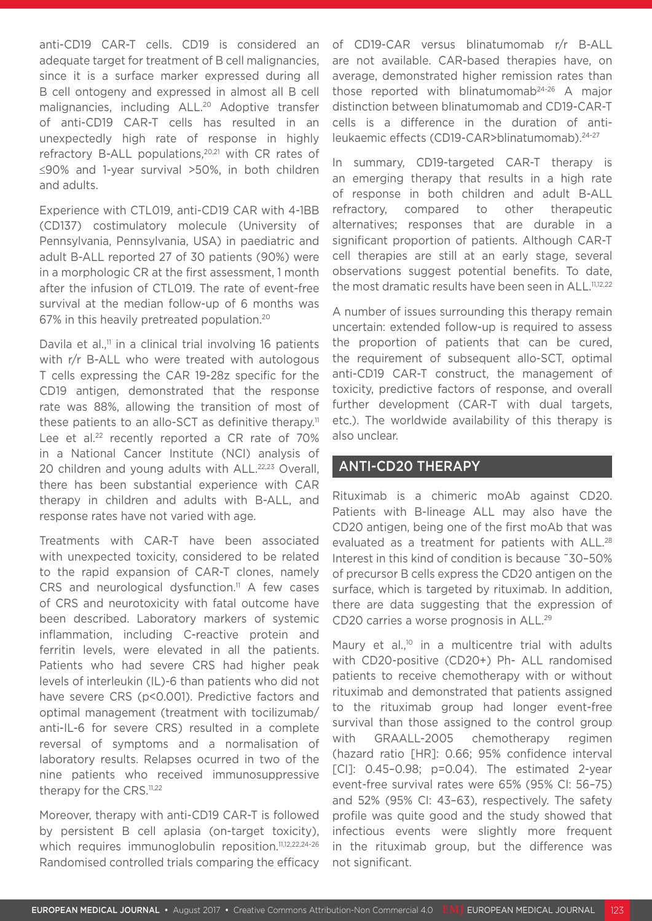anti-CD19 CAR-T cells. CD19 is considered an adequate target for treatment of B cell malignancies, since it is a surface marker expressed during all B cell ontogeny and expressed in almost all B cell malignancies, including ALL.<sup>20</sup> Adoptive transfer of anti-CD19 CAR-T cells has resulted in an unexpectedly high rate of response in highly refractory B-ALL populations,<sup>20,21</sup> with CR rates of ≤90% and 1-year survival >50%, in both children and adults.

Experience with CTL019, anti-CD19 CAR with 4-1BB (CD137) costimulatory molecule (University of Pennsylvania, Pennsylvania, USA) in paediatric and adult B-ALL reported 27 of 30 patients (90%) were in a morphologic CR at the first assessment, 1 month after the infusion of CTL019. The rate of event-free survival at the median follow-up of 6 months was 67% in this heavily pretreated population.20

Davila et al.<sup>11</sup> in a clinical trial involving 16 patients with r/r B-ALL who were treated with autologous T cells expressing the CAR 19-28z specific for the CD19 antigen, demonstrated that the response rate was 88%, allowing the transition of most of these patients to an allo-SCT as definitive therapy.<sup>11</sup> Lee et al.<sup>22</sup> recently reported a CR rate of 70% in a National Cancer Institute (NCI) analysis of 20 children and young adults with ALL.<sup>22,23</sup> Overall, there has been substantial experience with CAR therapy in children and adults with B-ALL, and response rates have not varied with age.

Treatments with CAR-T have been associated with unexpected toxicity, considered to be related to the rapid expansion of CAR-T clones, namely CRS and neurological dysfunction.<sup>11</sup> A few cases of CRS and neurotoxicity with fatal outcome have been described. Laboratory markers of systemic inflammation, including C-reactive protein and ferritin levels, were elevated in all the patients. Patients who had severe CRS had higher peak levels of interleukin (IL)-6 than patients who did not have severe CRS (p<0.001). Predictive factors and optimal management (treatment with tocilizumab/ anti-IL-6 for severe CRS) resulted in a complete reversal of symptoms and a normalisation of laboratory results. Relapses ocurred in two of the nine patients who received immunosuppressive therapy for the CRS.<sup>11,22</sup>

Moreover, therapy with anti-CD19 CAR-T is followed by persistent B cell aplasia (on-target toxicity), which requires immunoglobulin reposition.<sup>11,12,22,24-26</sup> Randomised controlled trials comparing the efficacy of CD19-CAR versus blinatumomab r/r B-ALL are not available. CAR-based therapies have, on average, demonstrated higher remission rates than those reported with blinatumomab24-26 A major distinction between blinatumomab and CD19-CAR-T cells is a difference in the duration of antileukaemic effects (CD19-CAR>blinatumomab).24-27

In summary, CD19-targeted CAR-T therapy is an emerging therapy that results in a high rate of response in both children and adult B-ALL refractory, compared to other therapeutic alternatives; responses that are durable in a significant proportion of patients. Although CAR-T cell therapies are still at an early stage, several observations suggest potential benefits. To date, the most dramatic results have been seen in ALL.<sup>11,12,22</sup>

A number of issues surrounding this therapy remain uncertain: extended follow-up is required to assess the proportion of patients that can be cured, the requirement of subsequent allo-SCT, optimal anti-CD19 CAR-T construct, the management of toxicity, predictive factors of response, and overall further development (CAR-T with dual targets, etc.). The worldwide availability of this therapy is also unclear.

#### ANTI-CD20 THERAPY

Rituximab is a chimeric moAb against CD20. Patients with B-lineage ALL may also have the CD20 antigen, being one of the first moAb that was evaluated as a treatment for patients with ALL.<sup>28</sup> Interest in this kind of condition is because ˜30–50% of precursor B cells express the CD20 antigen on the surface, which is targeted by rituximab. In addition, there are data suggesting that the expression of CD20 carries a worse prognosis in ALL.29

Maury et al.,<sup>10</sup> in a multicentre trial with adults with CD20-positive (CD20+) Ph- ALL randomised patients to receive chemotherapy with or without rituximab and demonstrated that patients assigned to the rituximab group had longer event-free survival than those assigned to the control group with GRAALL-2005 chemotherapy regimen (hazard ratio [HR]: 0.66; 95% confidence interval [CI]: 0.45–0.98; p=0.04). The estimated 2-year event-free survival rates were 65% (95% CI: 56–75) and 52% (95% CI: 43–63), respectively. The safety profile was quite good and the study showed that infectious events were slightly more frequent in the rituximab group, but the difference was not significant.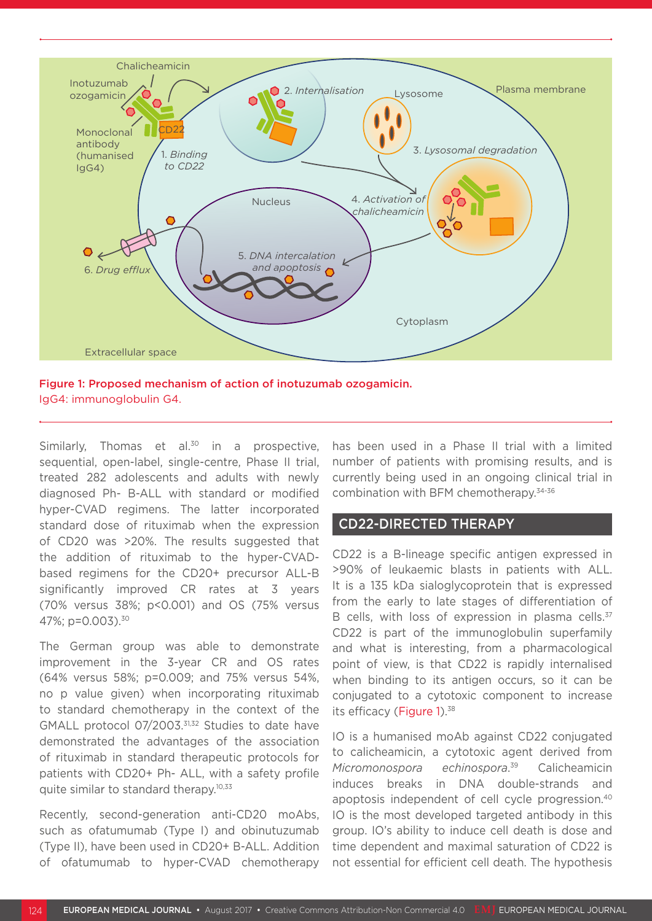

Figure 1: Proposed mechanism of action of inotuzumab ozogamicin. IgG4: immunoglobulin G4.

Similarly, Thomas et al. $30$  in a prospective, sequential, open-label, single-centre, Phase II trial, treated 282 adolescents and adults with newly diagnosed Ph- B-ALL with standard or modified hyper-CVAD regimens. The latter incorporated standard dose of rituximab when the expression of CD20 was >20%. The results suggested that the addition of rituximab to the hyper-CVADbased regimens for the CD20+ precursor ALL-B significantly improved CR rates at 3 years (70% versus 38%; p<0.001) and OS (75% versus 47%; p=0.003).30

The German group was able to demonstrate improvement in the 3-year CR and OS rates (64% versus 58%; p=0.009; and 75% versus 54%, no p value given) when incorporating rituximab to standard chemotherapy in the context of the GMALL protocol 07/2003.31,32 Studies to date have demonstrated the advantages of the association of rituximab in standard therapeutic protocols for patients with CD20+ Ph- ALL, with a safety profile quite similar to standard therapy.<sup>10,33</sup>

Recently, second-generation anti-CD20 moAbs, such as ofatumumab (Type I) and obinutuzumab (Type II), have been used in CD20+ B-ALL. Addition of ofatumumab to hyper-CVAD chemotherapy

has been used in a Phase II trial with a limited number of patients with promising results, and is currently being used in an ongoing clinical trial in combination with BFM chemotherapy.34-36

#### CD22-DIRECTED THERAPY

CD22 is a B-lineage specific antigen expressed in >90% of leukaemic blasts in patients with ALL. It is a 135 kDa sialoglycoprotein that is expressed from the early to late stages of differentiation of B cells, with loss of expression in plasma cells.<sup>37</sup> CD22 is part of the immunoglobulin superfamily and what is interesting, from a pharmacological point of view, is that CD22 is rapidly internalised when binding to its antigen occurs, so it can be conjugated to a cytotoxic component to increase its efficacy (Figure 1).<sup>38</sup>

IO is a humanised moAb against CD22 conjugated to calicheamicin, a cytotoxic agent derived from *Micromonospora echinospora*. **Calicheamicin** induces breaks in DNA double-strands and apoptosis independent of cell cycle progression.40 IO is the most developed targeted antibody in this group. IO's ability to induce cell death is dose and time dependent and maximal saturation of CD22 is not essential for efficient cell death. The hypothesis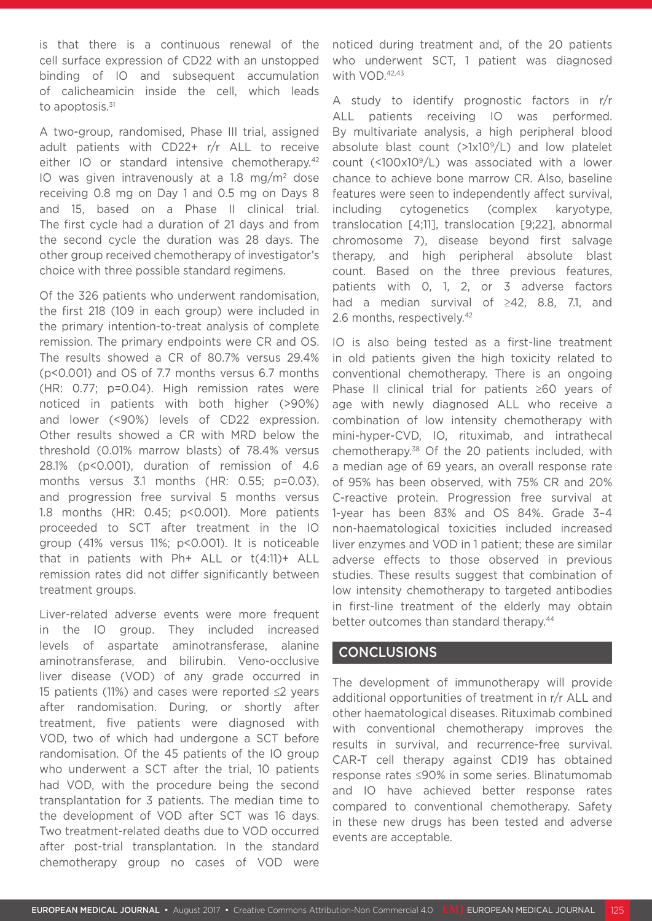is that there is a continuous renewal of the cell surface expression of CD22 with an unstopped binding of IO and subsequent accumulation of calicheamicin inside the cell, which leads to apoptosis. $31$ 

A two-group, randomised, Phase III trial, assigned adult patients with CD22+ r/r ALL to receive either IO or standard intensive chemotherapy.<sup>42</sup> IO was given intravenously at a 1.8 mg/m<sup>2</sup> dose receiving 0.8 mg on Day 1 and 0.5 mg on Days 8 and 15, based on a Phase II clinical trial. The first cycle had a duration of 21 days and from the second cycle the duration was 28 days. The other group received chemotherapy of investigator's choice with three possible standard regimens.

Of the 326 patients who underwent randomisation, the first 218 (109 in each group) were included in the primary intention-to-treat analysis of complete remission. The primary endpoints were CR and OS. The results showed a CR of 80.7% versus 29.4% (p<0.001) and OS of 7.7 months versus 6.7 months (HR: 0.77; p=0.04). High remission rates were noticed in patients with both higher (>90%) and lower (<90%) levels of CD22 expression. Other results showed a CR with MRD below the threshold (0.01% marrow blasts) of 78.4% versus 28.1% (p<0.001), duration of remission of 4.6 months versus 3.1 months (HR: 0.55; p=0.03), and progression free survival 5 months versus 1.8 months (HR: 0.45; p<0.001). More patients proceeded to SCT after treatment in the IO group (41% versus 11%; p<0.001). It is noticeable that in patients with Ph+ ALL or t(4:11)+ ALL remission rates did not differ significantly between treatment groups.

Liver-related adverse events were more frequent in the IO group. They included increased levels of aspartate aminotransferase, alanine aminotransferase, and bilirubin. Veno-occlusive liver disease (VOD) of any grade occurred in 15 patients (11%) and cases were reported ≤2 years after randomisation. During, or shortly after treatment, five patients were diagnosed with VOD, two of which had undergone a SCT before randomisation. Of the 45 patients of the IO group who underwent a SCT after the trial, 10 patients had VOD, with the procedure being the second transplantation for 3 patients. The median time to the development of VOD after SCT was 16 days. Two treatment-related deaths due to VOD occurred after post-trial transplantation. In the standard chemotherapy group no cases of VOD were

noticed during treatment and, of the 20 patients who underwent SCT, 1 patient was diagnosed with VOD.<sup>42,43</sup>

A study to identify prognostic factors in r/r ALL patients receiving IO was performed. By multivariate analysis, a high peripheral blood absolute blast count  $(>\frac{1}{2}1)(0)^9/L$  and low platelet count (<100x109/L) was associated with a lower chance to achieve bone marrow CR. Also, baseline features were seen to independently affect survival, including cytogenetics (complex karyotype, translocation [4;11], translocation [9;22], abnormal chromosome 7), disease beyond first salvage therapy, and high peripheral absolute blast count. Based on the three previous features, patients with 0, 1, 2, or 3 adverse factors had a median survival of ≥42, 8.8, 7.1, and 2.6 months, respectively.<sup>42</sup>

IO is also being tested as a first-line treatment in old patients given the high toxicity related to conventional chemotherapy. There is an ongoing Phase II clinical trial for patients ≥60 years of age with newly diagnosed ALL who receive a combination of low intensity chemotherapy with mini-hyper-CVD, IO, rituximab, and intrathecal chemotherapy.38 Of the 20 patients included, with a median age of 69 years, an overall response rate of 95% has been observed, with 75% CR and 20% C-reactive protein. Progression free survival at 1-year has been 83% and OS 84%. Grade 3–4 non-haematological toxicities included increased liver enzymes and VOD in 1 patient; these are similar adverse effects to those observed in previous studies. These results suggest that combination of low intensity chemotherapy to targeted antibodies in first-line treatment of the elderly may obtain better outcomes than standard therapy.<sup>44</sup>

### CONCLUSIONS

The development of immunotherapy will provide additional opportunities of treatment in r/r ALL and other haematological diseases. Rituximab combined with conventional chemotherapy improves the results in survival, and recurrence-free survival. CAR-T cell therapy against CD19 has obtained response rates ≤90% in some series. Blinatumomab and IO have achieved better response rates compared to conventional chemotherapy. Safety in these new drugs has been tested and adverse events are acceptable.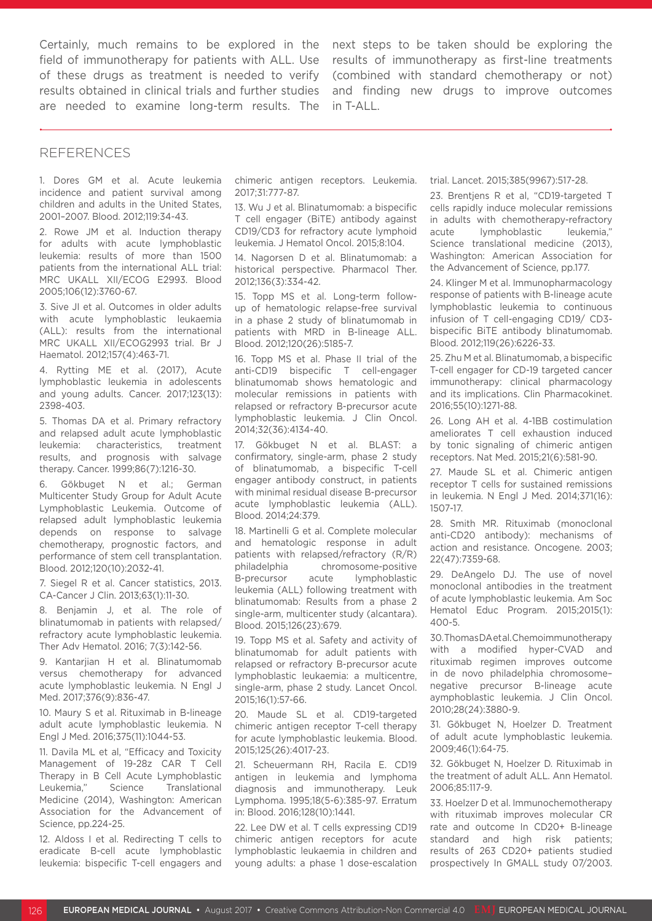Certainly, much remains to be explored in the field of immunotherapy for patients with ALL. Use of these drugs as treatment is needed to verify results obtained in clinical trials and further studies are needed to examine long-term results. The

next steps to be taken should be exploring the results of immunotherapy as first-line treatments (combined with standard chemotherapy or not) and finding new drugs to improve outcomes in T-ALL.

#### REFERENCES

1. Dores GM et al. Acute leukemia incidence and patient survival among children and adults in the United States, 2001–2007. Blood. 2012;119:34-43.

2. Rowe JM et al. Induction therapy for adults with acute lymphoblastic leukemia: results of more than 1500 patients from the international ALL trial: MRC UKALL XII/ECOG E2993. Blood 2005;106(12):3760-67.

3. Sive JI et al. Outcomes in older adults with acute lymphoblastic leukaemia (ALL): results from the international MRC UKALL XII/ECOG2993 trial. Br J Haematol. 2012;157(4):463-71.

4. Rytting ME et al. (2017), Acute lymphoblastic leukemia in adolescents and young adults. Cancer. 2017;123(13): 2398-403.

5. Thomas DA et al. Primary refractory and relapsed adult acute lymphoblastic leukemia: characteristics, treatment results, and prognosis with salvage therapy. Cancer. 1999;86(7):1216-30.

6. Gökbuget N et al.; German Multicenter Study Group for Adult Acute Lymphoblastic Leukemia. Outcome of relapsed adult lymphoblastic leukemia depends on response to salvage chemotherapy, prognostic factors, and performance of stem cell transplantation. Blood. 2012;120(10):2032-41.

7. Siegel R et al. Cancer statistics, 2013. CA-Cancer J Clin. 2013;63(1):11-30.

8. Benjamin J, et al. The role of blinatumomab in patients with relapsed/ refractory acute lymphoblastic leukemia. Ther Adv Hematol. 2016; 7(3):142-56.

9. Kantarjian H et al. Blinatumomab versus chemotherapy for advanced acute lymphoblastic leukemia. N Engl J Med. 2017;376(9):836-47.

10. Maury S et al. Rituximab in B-lineage adult acute lymphoblastic leukemia. N Engl J Med. 2016;375(11):1044-53.

11. Davila ML et al, "Efficacy and Toxicity Management of 19-28z CAR T Cell Therapy in B Cell Acute Lymphoblastic Leukemia," Science Translational Medicine (2014), Washington: American Association for the Advancement of Science, pp.224-25.

12. Aldoss I et al. Redirecting T cells to eradicate B-cell acute lymphoblastic leukemia: bispecific T-cell engagers and chimeric antigen receptors. Leukemia. 2017;31:777-87.

13. Wu J et al. Blinatumomab: a bispecific T cell engager (BiTE) antibody against CD19/CD3 for refractory acute lymphoid leukemia. J Hematol Oncol. 2015;8:104.

14. Nagorsen D et al. Blinatumomab: a historical perspective. Pharmacol Ther. 2012;136(3):334-42.

15. Topp MS et al. Long-term followup of hematologic relapse-free survival in a phase 2 study of blinatumomab in patients with MRD in B-lineage ALL. Blood. 2012;120(26):5185-7.

16. Topp MS et al. Phase II trial of the anti-CD19 bispecific T cell-engager blinatumomab shows hematologic and molecular remissions in patients with relapsed or refractory B-precursor acute lymphoblastic leukemia. J Clin Oncol. 2014;32(36):4134-40.

17. Gökbuget N et al. BLAST: a confirmatory, single-arm, phase 2 study of blinatumomab, a bispecific T-cell engager antibody construct, in patients with minimal residual disease B-precursor acute lymphoblastic leukemia (ALL). Blood. 2014;24:379.

18. Martinelli G et al. Complete molecular and hematologic response in adult patients with relapsed/refractory (R/R) philadelphia chromosome-positive B-precursor acute lymphoblastic leukemia (ALL) following treatment with blinatumomab: Results from a phase 2 single-arm, multicenter study (alcantara). Blood. 2015;126(23):679.

19. Topp MS et al. Safety and activity of blinatumomab for adult patients with relapsed or refractory B-precursor acute lymphoblastic leukaemia: a multicentre, single-arm, phase 2 study. Lancet Oncol. 2015;16(1):57-66.

20. Maude SL et al. CD19-targeted chimeric antigen receptor T-cell therapy for acute lymphoblastic leukemia. Blood. 2015;125(26):4017-23.

21. Scheuermann RH, Racila E. CD19 antigen in leukemia and lymphoma diagnosis and immunotherapy. Leuk Lymphoma. 1995;18(5-6):385-97. Erratum in: Blood. 2016;128(10):1441.

22. Lee DW et al. T cells expressing CD19 chimeric antigen receptors for acute lymphoblastic leukaemia in children and young adults: a phase 1 dose-escalation trial. Lancet. 2015;385(9967):517-28.

23. Brentjens R et al, "CD19-targeted T cells rapidly induce molecular remissions in adults with chemotherapy-refractory acute lymphoblastic leukemia," Science translational medicine (2013), Washington: American Association for the Advancement of Science, pp.177.

24. Klinger M et al. Immunopharmacology response of patients with B-lineage acute lymphoblastic leukemia to continuous infusion of T cell-engaging CD19/ CD3 bispecific BiTE antibody blinatumomab. Blood. 2012;119(26):6226-33.

25. Zhu M et al. Blinatumomab, a bispecific T-cell engager for CD-19 targeted cancer immunotherapy: clinical pharmacology and its implications. Clin Pharmacokinet. 2016;55(10):1271-88.

26. Long AH et al. 4-1BB costimulation ameliorates T cell exhaustion induced by tonic signaling of chimeric antigen receptors. Nat Med. 2015;21(6):581-90.

27. Maude SL et al. Chimeric antigen receptor T cells for sustained remissions in leukemia. N Engl J Med. 2014;371(16): 1507-17.

28. Smith MR. Rituximab (monoclonal anti-CD20 antibody): mechanisms of action and resistance. Oncogene. 2003; 22(47):7359-68.

29. DeAngelo DJ. The use of novel monoclonal antibodies in the treatment of acute lymphoblastic leukemia. Am Soc Hematol Educ Program. 2015;2015(1): 400-5.

30. Thomas DA et al. Chemoimmunotherapy with a modified hyper-CVAD and rituximab regimen improves outcome in de novo philadelphia chromosome– negative precursor B-lineage acute aymphoblastic leukemia. J Clin Oncol. 2010;28(24):3880-9.

31. Gökbuget N, Hoelzer D. Treatment of adult acute lymphoblastic leukemia. 2009;46(1):64-75.

32. Gökbuget N, Hoelzer D. Rituximab in the treatment of adult ALL. Ann Hematol. 2006;85:117-9.

33. Hoelzer D et al. Immunochemotherapy with rituximab improves molecular CR rate and outcome In CD20+ B-lineage standard and high risk patients; results of 263 CD20+ patients studied prospectively In GMALL study 07/2003.